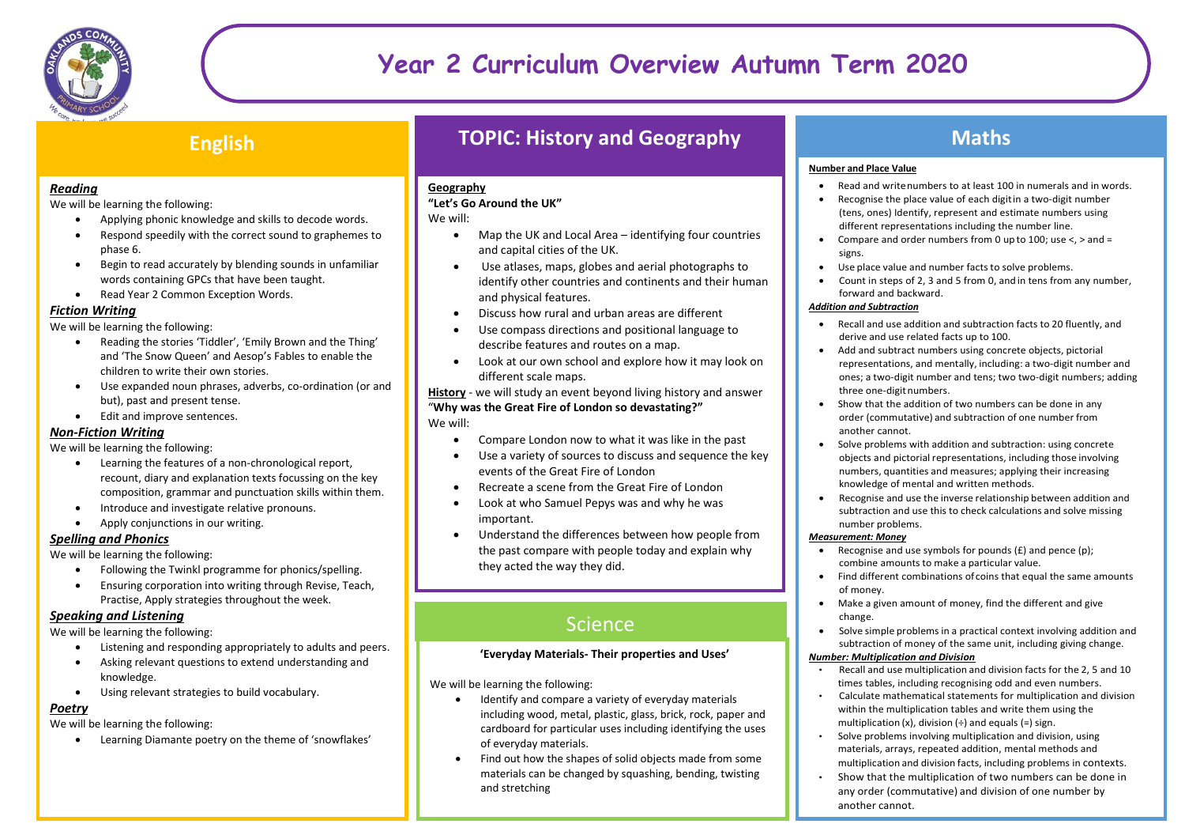

# **Year 2 Curriculum Overview Autumn Term 2020**

### **English**

### *Reading*

We will be learning the following:

- Applying phonic knowledge and skills to decode words.
- Respond speedily with the correct sound to graphemes to phase 6.
- Begin to read accurately by blending sounds in unfamiliar words containing GPCs that have been taught.
- Read Year 2 Common Exception Words.

### *Fiction Writing*

We will be learning the following:

- Reading the stories 'Tiddler', 'Emily Brown and the Thing' and 'The Snow Queen' and Aesop's Fables to enable the children to write their own stories.
- Use expanded noun phrases, adverbs, co-ordination (or and but), past and present tense.
- Edit and improve sentences.

### *Non-Fiction Writing*

We will be learning the following:

- Learning the features of a non-chronological report, recount, diary and explanation texts focussing on the key composition, grammar and punctuation skills within them.
- Introduce and investigate relative pronouns.
- Apply conjunctions in our writing.

### *Spelling and Phonics*

We will be learning the following:

- Following the Twinkl programme for phonics/spelling.
- Ensuring corporation into writing through Revise, Teach, Practise, Apply strategies throughout the week.

### *Speaking and Listening*

We will be learning the following:

- Listening and responding appropriately to adults and peers.
- Asking relevant questions to extend understanding and knowledge.
- Using relevant strategies to build vocabulary.

### *Poetry*

We will be learning the following:

Learning Diamante poetry on the theme of 'snowflakes'

## **TOPIC: History and Geography**

### **Geography**

### **"Let's Go Around the UK"**

We will:

- Map the UK and Local Area identifying four countries and capital cities of the UK.
- Use atlases, maps, globes and aerial photographs to identify other countries and continents and their human and physical features.
- Discuss how rural and urban areas are different
- Use compass directions and positional language to describe features and routes on a map.
- Look at our own school and explore how it may look on different scale maps.

**History** - we will study an event beyond living history and answer "**Why was the Great Fire of London so devastating?"** We will:

- Compare London now to what it was like in the past
- Use a variety of sources to discuss and sequence the key events of the Great Fire of London
- Recreate a scene from the Great Fire of London
- Look at who Samuel Pepys was and why he was important.
- Understand the differences between how people from the past compare with people today and explain why they acted the way they did.

# **Science**

### **'Everyday Materials- Their properties and Uses'**

We will be learning the following:

- Identify and compare a variety of everyday materials including wood, metal, plastic, glass, brick, rock, paper and cardboard for particular uses including identifying the uses of everyday materials.
- Find out how the shapes of solid objects made from some materials can be changed by squashing, bending, twisting and stretching

## **Maths**

### **Number and Place Value**

- Read and writenumbers to at least 100 in numerals and in words.
- Recognise the place value of each digitin a two-digit number (tens, ones) Identify, represent and estimate numbers using different representations including the number line.
- Compare and order numbers from 0 up to 100; use <, > and = signs.
- Use place value and number facts to solve problems.
- Count in steps of 2, 3 and 5 from 0, and in tens from any number, forward and backward.

### *Addition and Subtraction*

- Recall and use addition and subtraction facts to 20 fluently, and derive and use related facts up to 100.
- Add and subtract numbers using concrete objects, pictorial representations, and mentally, including: a two-digit number and ones; a two-digit number and tens; two two-digit numbers; adding three one-digitnumbers.
- Show that the addition of two numbers can be done in any order (commutative) and subtraction of one number from another cannot.
- Solve problems with addition and subtraction: using concrete objects and pictorial representations, including those involving numbers, quantities and measures; applying their increasing knowledge of mental and written methods.
- Recognise and use the inverse relationship between addition and subtraction and use this to check calculations and solve missing number problems.

### *Measurement: Money*

- Recognise and use symbols for pounds (£) and pence (p); combine amounts to make a particular value.
- Find different combinations of coins that equal the same amounts of money.
- Make a given amount of money, find the different and give change.
- Solve simple problems in a practical context involving addition and subtraction of money of the same unit, including giving change.

### *Number: Multiplication and Division*

- Recall and use multiplication and division facts for the 2, 5 and 10 times tables, including recognising odd and even numbers.
- Calculate mathematical statements for multiplication and division within the multiplication tables and write them using the multiplication  $(x)$ , division  $(+)$  and equals  $(=)$  sign.
- Solve problems involving multiplication and division, using materials, arrays, repeated addition, mental methods and multiplication and division facts, including problems in contexts.
- Show that the multiplication of two numbers can be done in any order (commutative) and division of one number by another cannot.